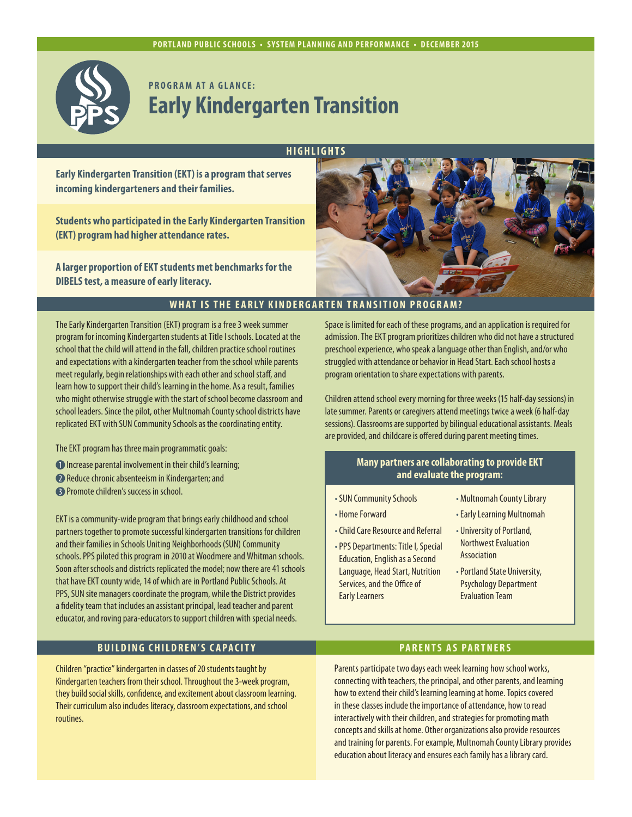

# **PROGRAM AT A GLANCE: Early Kindergarten Transition**

**HIGHLIGHTS**

**Early Kindergarten Transition (EKT) is a program that serves incoming kindergarteners and their families.**

**Students who participated in the Early Kindergarten Transition (EKT) program had higher attendance rates.**

**A larger proportion of EKT students met benchmarks for the DIBELS test, a measure of early literacy.**



#### **WHAT IS THE EARLY KINDERGARTEN TRANSITION PROGRAM?**

The Early Kindergarten Transition (EKT) program is a free 3 week summer program for incoming Kindergarten students at Title I schools. Located at the school that the child will attend in the fall, children practice school routines and expectations with a kindergarten teacher from the school while parents meet regularly, begin relationships with each other and school staff, and learn how to support their child's learning in the home. As a result, families who might otherwise struggle with the start of school become classroom and school leaders. Since the pilot, other Multnomah County school districts have replicated EKT with SUN Community Schools as the coordinating entity.

- The EKT program has three main programmatic goals:
- **Increase parental involvement in their child's learning;**
- Reduce chronic absenteeism in Kindergarten; and
- **B** Promote children's success in school.

EKT is a community-wide program that brings early childhood and school partners together to promote successful kindergarten transitions for children and their families in Schools Uniting Neighborhoods (SUN) Community schools. PPS piloted this program in 2010 at Woodmere and Whitman schools. Soon after schools and districts replicated the model; now there are 41 schools that have EKT county wide, 14 of which are in Portland Public Schools. At PPS, SUN site managers coordinate the program, while the District provides a fidelity team that includes an assistant principal, lead teacher and parent educator, and roving para-educators to support children with special needs.

### **BUILDING CHILDREN'S CAPACITY PARENTS AS PARTNERS**

Children "practice" kindergarten in classes of 20 students taught by Kindergarten teachers from their school. Throughout the 3-week program, they build social skills, confidence, and excitement about classroom learning. Their curriculum also includes literacy, classroom expectations, and school routines.

Space is limited for each of these programs, and an application is required for admission. The EKT program prioritizes children who did not have a structured preschool experience, who speak a language other than English, and/or who struggled with attendance or behavior in Head Start. Each school hosts a program orientation to share expectations with parents.

Children attend school every morning for three weeks (15 half-day sessions) in late summer. Parents or caregivers attend meetings twice a week (6 half-day sessions). Classrooms are supported by bilingual educational assistants. Meals are provided, and childcare is offered during parent meeting times.

#### **Many partners are collaborating to provide EKT and evaluate the program:**

- SUN Community Schools
- Home Forward
- Child Care Resource and Referral
- •PPS Departments: Title I, Special Education, English as a Second Language, Head Start, Nutrition Services, and the Office of Early Learners
- Multnomah County Library
- Early Learning Multnomah
- University of Portland, Northwest Evaluation Association
- Portland State University, Psychology Department Evaluation Team

Parents participate two days each week learning how school works, connecting with teachers, the principal, and other parents, and learning how to extend their child's learning learning at home. Topics covered in these classes include the importance of attendance, how to read interactively with their children, and strategies for promoting math concepts and skills at home. Other organizations also provide resources and training for parents. For example, Multnomah County Library provides education about literacy and ensures each family has a library card.